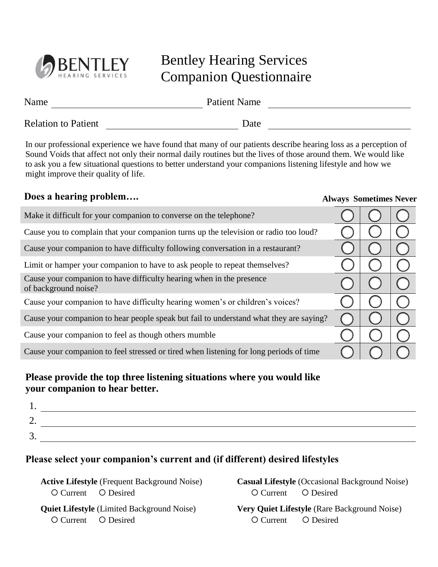

### Bentley Hearing Services Companion Questionnaire

| Name                       | <b>Patient Name</b> |
|----------------------------|---------------------|
| <b>Relation to Patient</b> | Date                |

In our professional experience we have found that many of our patients describe hearing loss as a perception of Sound Voids that affect not only their normal daily routines but the lives of those around them. We would like to ask you a few situational questions to better understand your companions listening lifestyle and how we might improve their quality of life.

# **Does a hearing problem…. Always Sometimes Never** Make it difficult for your companion to converse on the telephone? Cause you to complain that your companion turns up the television or radio too loud? Cause your companion to have difficulty following conversation in a restaurant? Limit or hamper your companion to have to ask people to repeat themselves? Cause your companion to have difficulty hearing when in the presence  $\bigcirc \bigcirc \bigcirc \bigcirc$ Cause your companion to have difficulty hearing women's or children's voices? Cause your companion to hear people speak but fail to understand what they are saying?

Cause your companion to feel as though others mumble

Cause your companion to feel stressed or tired when listening for long periods of time

### **Please provide the top three listening situations where you would like your companion to hear better.**

| <u>.</u> |  |
|----------|--|
| ້        |  |

### **Please select your companion's current and (if different) desired lifestyles**

**Active Lifestyle** (Frequent Background Noise) O Current O Desired

**Casual Lifestyle** (Occasional Background Noise) O Current O Desired

**Quiet Lifestyle** (Limited Background Noise) O Current O Desired

**Very Quiet Lifestyle** (Rare Background Noise) O Current O Desired